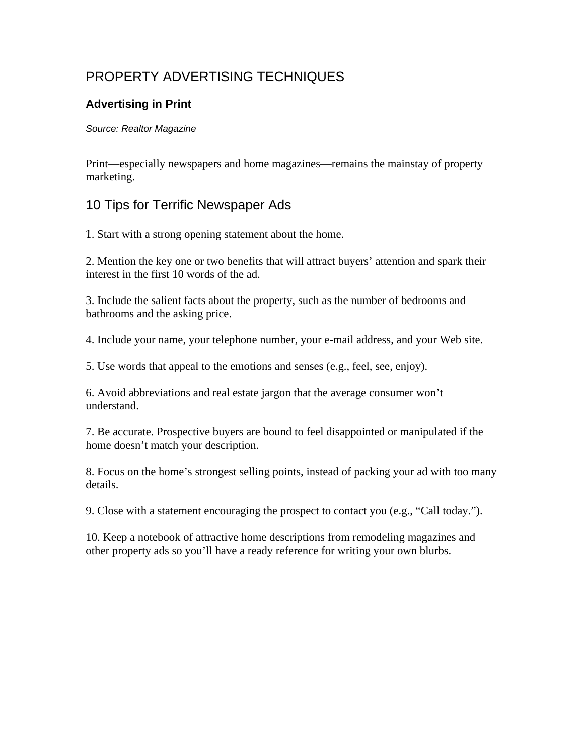# PROPERTY ADVERTISING TECHNIQUES

#### **Advertising in Print**

#### *Source: Realtor Magazine*

Print—especially newspapers and home magazines—remains the mainstay of property marketing.

### 10 Tips for Terrific Newspaper Ads

1. Start with a strong opening statement about the home.

2. Mention the key one or two benefits that will attract buyers' attention and spark their interest in the first 10 words of the ad.

3. Include the salient facts about the property, such as the number of bedrooms and bathrooms and the asking price.

4. Include your name, your telephone number, your e-mail address, and your Web site.

5. Use words that appeal to the emotions and senses (e.g., feel, see, enjoy).

6. Avoid abbreviations and real estate jargon that the average consumer won't understand.

7. Be accurate. Prospective buyers are bound to feel disappointed or manipulated if the home doesn't match your description.

8. Focus on the home's strongest selling points, instead of packing your ad with too many details.

9. Close with a statement encouraging the prospect to contact you (e.g., "Call today.").

10. Keep a notebook of attractive home descriptions from remodeling magazines and other property ads so you'll have a ready reference for writing your own blurbs.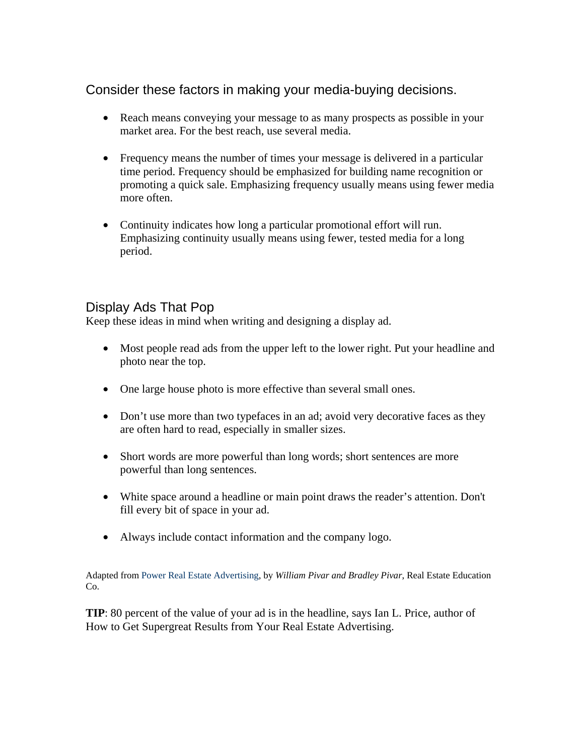## Consider these factors in making your media-buying decisions.

- Reach means conveying your message to as many prospects as possible in your market area. For the best reach, use several media.
- Frequency means the number of times your message is delivered in a particular time period. Frequency should be emphasized for building name recognition or promoting a quick sale. Emphasizing frequency usually means using fewer media more often.
- Continuity indicates how long a particular promotional effort will run. Emphasizing continuity usually means using fewer, tested media for a long period.

### Display Ads That Pop

Keep these ideas in mind when writing and designing a display ad.

- Most people read ads from the upper left to the lower right. Put your headline and photo near the top.
- One large house photo is more effective than several small ones.
- Don't use more than two typefaces in an ad; avoid very decorative faces as they are often hard to read, especially in smaller sizes.
- Short words are more powerful than long words; short sentences are more powerful than long sentences.
- White space around a headline or main point draws the reader's attention. Don't fill every bit of space in your ad.
- Always include contact information and the company logo.

Adapted from Power Real Estate Advertising, by *William Pivar and Bradley Pivar*, Real Estate Education Co.

**TIP**: 80 percent of the value of your ad is in the headline, says Ian L. Price, author of How to Get Supergreat Results from Your Real Estate Advertising.